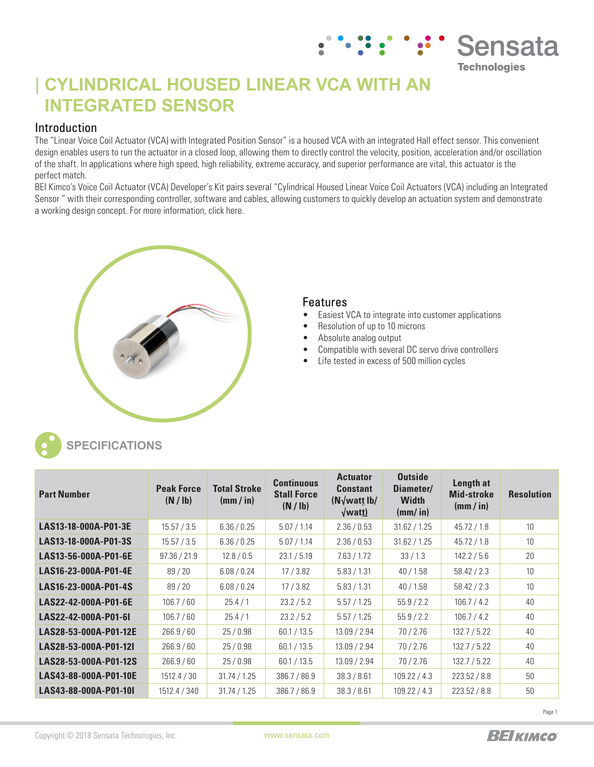# **| CYLINDRICAL HOUSED LINEAR VCA WITH AN INTEGRATED SENSOR**

## Introduction

The "Linear Voice Coil Actuator (VCA) with Integrated Position Sensor" is a housed VCA with an integrated Hall effect sensor. This convenient design enables users to run the actuator in a closed loop, allowing them to directly control the velocity, position, acceleration and/or oscillation of the shaft. In applications where high speed, high reliability, extreme accuracy, and superior performance are vital, this actuator is the perfect match.

BEI Kimco's Voice Coil Actuator (VCA) Developer's Kit pairs several "Cylindrical Housed Linear Voice Coil Actuators (VCA) including an Integrated Sensor " with their corresponding controller, software and cables, allowing customers to quickly develop an actuation system and demonstrate a working design concept. For more information, click here.



## Features

- Easiest VCA to integrate into customer applications
- Resolution of up to 10 microns
- Absolute analog output
- Compatible with several DC servo drive controllers
- Life tested in excess of 500 million cycles



## **SPECIFICATIONS**

| <b>Part Number</b>    | <b>Peak Force</b><br>(N / lb) | <b>Total Stroke</b><br>(mm / in) | <b>Continuous</b><br><b>Stall Force</b><br>(N / lb) | <b>Actuator</b><br><b>Constant</b><br>$(N\sqrt{\text{watt lb}})$<br>$\sqrt{$ watt $)$ | <b>Outside</b><br>Diameter/<br><b>Width</b><br>$(mm/$ in) | Length at<br><b>Mid-stroke</b><br>(mm / in) | <b>Resolution</b> |
|-----------------------|-------------------------------|----------------------------------|-----------------------------------------------------|---------------------------------------------------------------------------------------|-----------------------------------------------------------|---------------------------------------------|-------------------|
| LAS13-18-000A-P01-3E  | 15.57 / 3.5                   | 6.36 / 0.25                      | 5.07 / 1.14                                         | 2.36 / 0.53                                                                           | 31.62 / 1.25                                              | 45.72 / 1.8                                 | 10                |
| LAS13-18-000A-P01-3S  | 15.57 / 3.5                   | 6.36 / 0.25                      | 5.07 / 1.14                                         | 2.36 / 0.53                                                                           | 31.62 / 1.25                                              | 45.72 / 1.8                                 | 10                |
| LAS13-56-000A-P01-6E  | 97.36 / 21.9                  | 12.8 / 0.5                       | 23.1 / 5.19                                         | 7.63 / 1.72                                                                           | 33/1.3                                                    | 142.2 / 5.6                                 | 20                |
| LAS16-23-000A-P01-4E  | 89/20                         | 6.08 / 0.24                      | 17/3.82                                             | 5.83 / 1.31                                                                           | 40/1.58                                                   | 58.42 / 2.3                                 | 10                |
| LAS16-23-000A-P01-4S  | 89/20                         | 6.08 / 0.24                      | 17/3.82                                             | 5.83 / 1.31                                                                           | 40/1.58                                                   | 58.42 / 2.3                                 | 10                |
| LAS22-42-000A-P01-6E  | 106.7 / 60                    | 25.4/1                           | 23.2 / 5.2                                          | 5.57/1.25                                                                             | 55.9 / 2.2                                                | 106.7 / 4.2                                 | 40                |
| LAS22-42-000A-P01-6I  | 106.7 / 60                    | 25.4/1                           | 23.2 / 5.2                                          | 5.57/1.25                                                                             | 55.9 / 2.2                                                | 106.7 / 4.2                                 | 40                |
| LAS28-53-000A-P01-12E | 266.9/60                      | 25/0.98                          | 60.1 / 13.5                                         | 13.09 / 2.94                                                                          | 70/2.76                                                   | 132.7 / 5.22                                | 40                |
| LAS28-53-000A-P01-12I | 266.9/60                      | 25/0.98                          | 60.1 / 13.5                                         | 13.09 / 2.94                                                                          | 70/2.76                                                   | 132.7 / 5.22                                | 40                |
| LAS28-53-000A-P01-12S | 266.9/60                      | 25/0.98                          | 60.1 / 13.5                                         | 13.09 / 2.94                                                                          | 70/2.76                                                   | 132.7 / 5.22                                | 40                |
| LAS43-88-000A-P01-10E | 1512.4 / 30                   | 31.74 / 1.25                     | 386.7 / 86.9                                        | 38.3 / 8.61                                                                           | 109.22 / 4.3                                              | 223.52 / 8.8                                | 50                |
| LAS43-88-000A-P01-10I | 1512.4 / 340                  | 31.74 / 1.25                     | 386.7 / 86.9                                        | 38.3 / 8.61                                                                           | 109.22 / 4.3                                              | 223.52 / 8.8                                | 50                |



**Sensata** 

**Technologies**